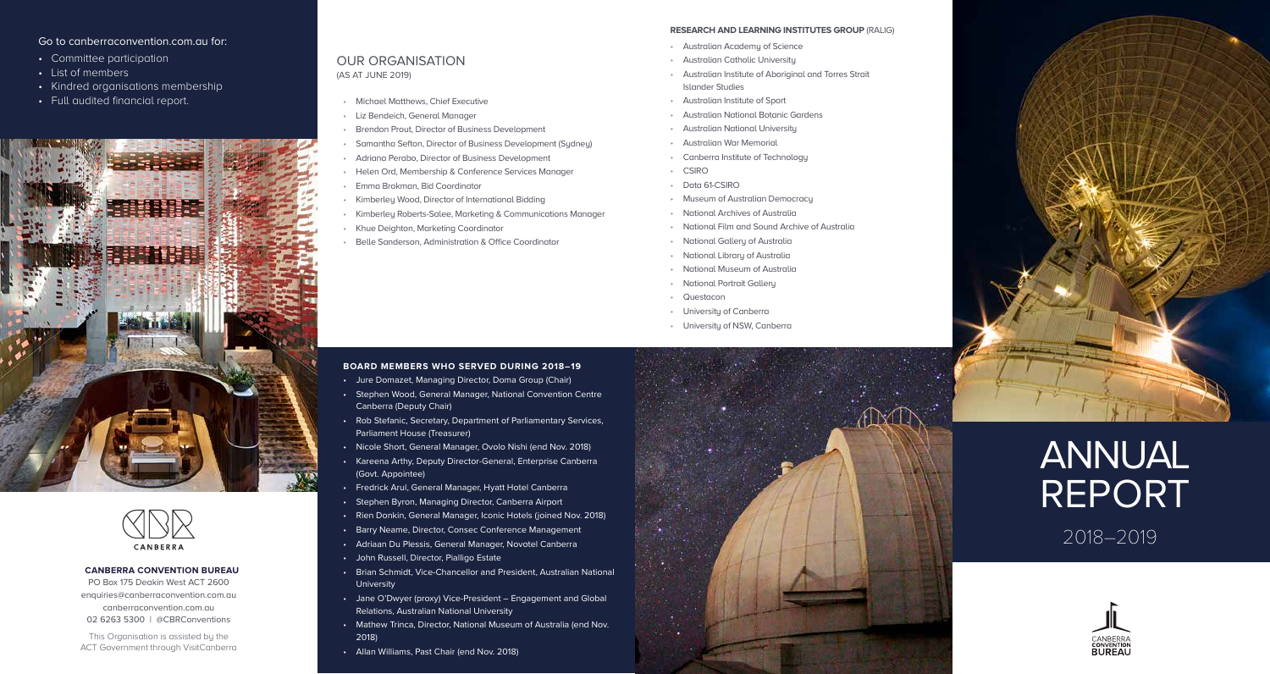## Go to canberraconvention.com.au for:

- Committee participation
- List of members
- Kindred organisations membership
- Full audited financial report.

# OUR ORGANISATION (AS AT JUNE 2019)

- Michael Matthews, Chief Executive
- Liz Bendeich, General Manager
- Brendon Prout, Director of Business Development
- Samantha Sefton, Director of Business Development (Sydney)
- Adriana Perabo, Director of Business Development
- Helen Ord, Membership & Conference Services Manager
- Emma Brokman, Bid Coordinator
- Kimberley Wood, Director of International Bidding
- Kimberley Roberts-Salee, Marketing & Communications Manager
- Khue Deighton, Marketing Coordinator
- Belle Sanderson, Administration & Office Coordinator

#### **RESEARCH AND LEARNING INSTITUTES GROUP** (RALIG)

- Australian Academy of Science
- Australian Catholic University
- Australian Institute of Aboriginal and Torres Strait Islander Studies
- Australian Institute of Sport
- Australian National Botanic Gardens
- Australian National University
- Australian War Memorial
- Canberra Institute of Technology
- **CSIRO**
- Data 61-CSIRO
- Museum of Australian Democracy
- National Archives of Australia
- National Film and Sound Archive of Australia
- National Gallery of Australia
- National Library of Australia
- National Museum of Australia
- National Portrait Gallery
- Questacon
- Universitu of Canberra
- Universitu of NSW, Canberra

#### **BOARD MEMBERS WHO SERVED DURING 2018–19**

- Jure Domazet, Managing Director, Doma Group (Chair)
- Stephen Wood, General Manager, National Convention Centre Canberra (Deputy Chair)
- Rob Stefanic, Secretary, Department of Parliamentary Services, Parliament House (Treasurer)
- Nicole Short, General Manager, Ovolo Nishi (end Nov. 2018)
- Kareena Arthy, Deputy Director-General, Enterprise Canberra (Govt. Appointee)
- Fredrick Arul, General Manager, Hyatt Hotel Canberra
- Stephen Byron, Managing Director, Canberra Airport
- Rien Donkin, General Manager, Iconic Hotels (joined Nov. 2018)
- Barry Neame, Director, Consec Conference Management
- Adriaan Du Plessis, General Manager, Novotel Canberra
- John Russell, Director, Pialligo Estate
- Brian Schmidt, Vice-Chancellor and President, Australian National University
- Jane O'Dwyer (proxy) Vice-President Engagement and Global Relations, Australian National University
- Mathew Trinca, Director, National Museum of Australia (end Nov. 2018)
- Allan Williams, Past Chair (end Nov. 2018)





2018–2019







FINITE ST

CANBERRA

#### **CANBERRA CONVENTION BUREAU**

PO Box 175 Deakin West ACT 2600 enquiries@canberraconvention.com.au canberraconvention.com.au 02 6263 5300 | @CBRConventions

This Organisation is assisted by the ACT Government through VisitCanberra